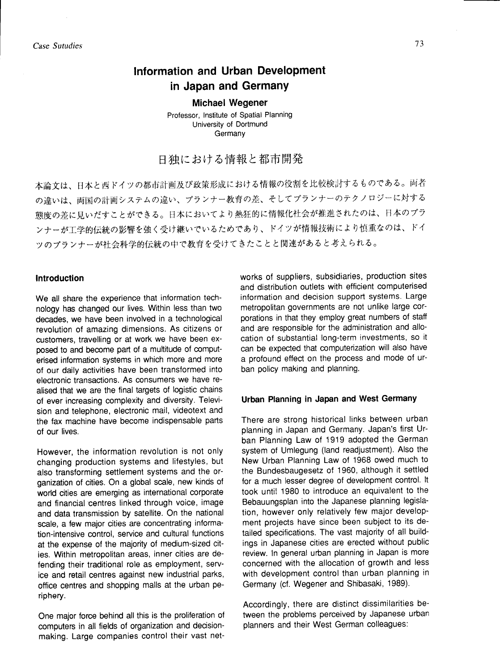# Information and Urban Development in Japan and Germany

**Michael Wegener** Professor, Institute of Spatial Planning University of Dortmund Germany

# 日独における情報と都市開発

本論文は、日本と西ドイツの都市計画及び政策形成における情報の役割を比較検討するものである。両者 の違いは、両国の計画システムの違い、プランナー教育の差、そしてプランナーのテクノロジーに対する 態度の差に見いだすことができる。日本においてより熱狂的に情報化社会が推進されたのは、日本のプラ ンナーが工学的伝統の影響を強く受け継いでいるためであり、ドイツが情報技術により慎重なのは、ドイ ツのプランナーが社会科学的伝統の中で教育を受けてきたことと関連があると考えられる。

# **Introduction**

We all share the experience that information technology has changed our lives. Within less than two decades, we have been involved in a technological revolution of amazing dimensions. As citizens or customers, travelling or at work we have been exposed to and become part of a multitude of computerised information systems in which more and more of our daily activities have been transformed into electronic transactions. As consumers we have realised that we are the final targets of logistic chains of ever increasing complexity and diversity. Television and telephone, electronic mail, videotext and the fax machine have become indispensable parts of our lives.

However, the information revolution is not only changing production systems and lifestyles, but also transforming settlement systems and the organization of cities. On a global scale, new kinds of world cities are emerging as international corporate and financial centres linked through voice, image and data transmission by satellite. On the national scale, a few major cities are concentrating information-intensive control, service and cultural functions at the expense of the majority of medium-sized cities. Within metropolitan areas, inner cities are defending their traditional role as employment, service and retail centres against new industrial parks, office centres and shopping malls at the urban periphery.

One major force behind all this is the proliferation of computers in all fields of organization and decisionmaking. Large companies control their vast net-

works of suppliers, subsidiaries, production sites and distribution outlets with efficient computerised information and decision support systems. Large metropolitan governments are not unlike large corporations in that they employ great numbers of staff and are responsible for the administration and allocation of substantial long-term investments, so it can be expected that computerization will also have a profound effect on the process and mode of urban policy making and planning.

#### Urban Planning in Japan and West Germany

There are strong historical links between urban planning in Japan and Germany. Japan's first Urban Planning Law of 1919 adopted the German system of Umlegung (land readjustment). Also the New Urban Planning Law of 1968 owed much to the Bundesbaugesetz of 1960, although it settled for a much lesser degree of development control. It took until 1980 to introduce an equivalent to the Bebauungsplan into the Japanese planning legislation, however only relatively few major development projects have since been subject to its detailed specifications. The vast majority of all buildings in Japanese cities are erected without public review. In general urban planning in Japan is more concerned with the allocation of growth and less with development control than urban planning in Germany (cf. Wegener and Shibasaki, 1989).

Accordingly, there are distinct dissimilarities between the problems perceived by Japanese urban planners and their West German colleagues: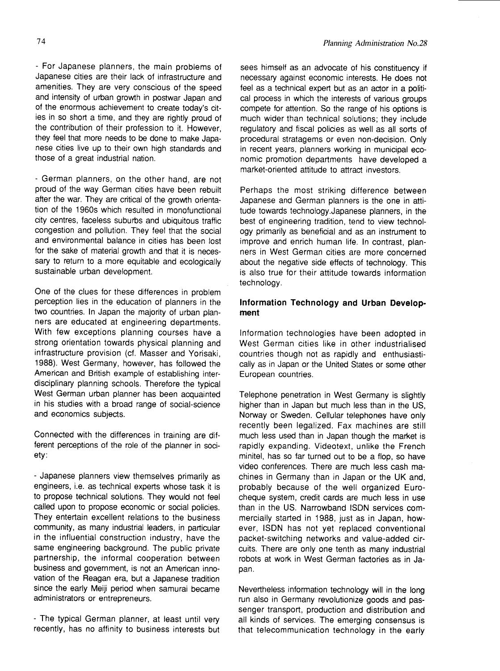- For Japanese planners, the main problems ol Japanese cities are their lack of infrastructure and amenities. They are very conscious of the speed and intensity of urban growth in postwar Japan and of the enormous achievement to create today's cities in so short a time, and they are rightly proud of the contribution of their profession to it. However, they feel that more needs to be done to make Japanese cities live up to their own high standards and those of a great industrial nation.

- German planners, on the other hand, are not proud of the way German cities have been rebuilt after the war. They are critical of the growth orientation of the 1960s which resulted in monofunctional city centres, faceless suburbs and ubiquitous traffic congestion and pollution. They feel that the social and environmental balance in cities has been lost for the sake of material growth and that it is necessary to return to a more equitable and ecologically sustainable urban development.

One of the clues for these differences in problem perception lies in the education of planners in the two countries. ln Japan the majority of urban planners are educated at engineering departments. With few exceptions planning courses have a strong orientation towards physical planning and infrastructure provision (cf. Masser and Yorisaki, 1988). West Germany, however, has followed the American and British example of establishing interdisciplinary planning schools. Therefore the typical West German urban planner has been acquainted in his studies with a broad range of social-science and economics subjects.

Connected with the differences in training are different perceptions of the role of the planner in society:

- Japanese planners view themselves primarily as engineers, i.e. as technical experts whose task it is to propose technical solutions. They would not feel called upon to propose economic or social policies. They entertain excellent relations to the business community, as many industrial leaders, in particular in the influential construction industry, have the same engineering background. The public private partnership, the informal cooperation between business and government, is not an American innovation of the Reagan era, but a Japanese tradition since the early Meiji period when samurai became administrators or entrepreneurs.

- The typical German planner, at least until very recently, has no affinity to business interests but sees himself as an advocate of his constituency if necessary against economic interests. He does not feel as a technical expert but as an actor in a political process in which the interests of various groups compete for attention. So the range of his options is much wider than technical solutions; they include regulatory and fiscal policies as well as all sorts of procedural stratagems or even non-decision. Only in recent years, planners working in municipal economic promotion departments have developed a market-oriented attitude to attract investors.

Perhaps the most striking difference between Japanese and German planners is the one in attitude towards technology.Japanese planners, in the best of engineering tradition, tend to view technology primarily as beneficial and as an instrument to improve and enrich human life. ln contrast, planners in West German cities are more concerned about the negative side effects of technology. This is also true for their attitude towards information technology.

# lnformation Technology and Urban Development

lnformation technologies have been adopted in West German cities like in other industrialised countries though not as rapidly and enthusiastically as in Japan or the United States or some other European countries.

Telephone penetration in West Germany is slightly higher than in Japan but much less than in the US, Norway or Sweden. Cellular telephones have only recently been legalized. Fax machines are still much less used than in Japan though the market is rapidly expanding. Videotext, unlike the French minitel, has so far turned out to be a flop, so have video conferences. There are much less cash machines in Germany than in Japan or the UK and, probably because of the well organized Eurocheque system, credit cards are much less in use than in the US. Narrowband ISDN services commercially started in 1988, just as in Japan, however, ISDN has not yet replaced conventional packet-switching networks and value-added circuits. There are only one tenth as many industrial robots at work in West German factories as in Japan.

Nevertheless information technology will in the long run also in Germany revolutionize goods and passenger transport, production and distribution and all kinds of services. The emerging consensus is that telecommunication technology in the early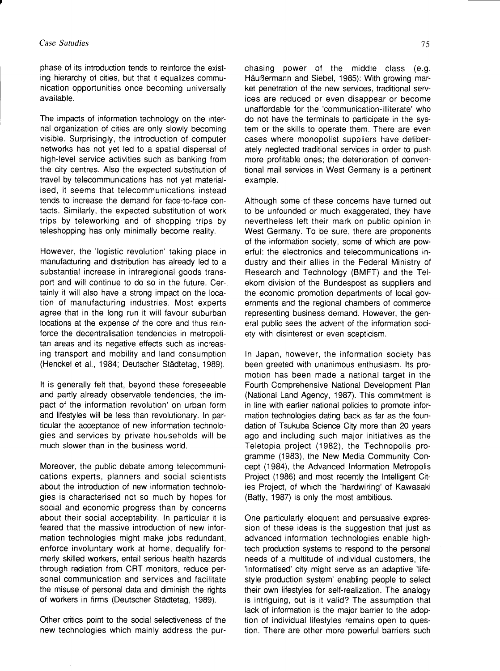phase of its introduction tends to reinforce the existing hierarchy of cities, but that it equalizes communication opportunities once becoming universally available.

The impacts of information technology on the internal organization of cities are only slowly becoming visible. Surprisingly, the introduction of computer networks has not yet led to a spatial dispersal of high-level service activities such as banking from the city centres. Also the expected substitution of travel by telecommunications has not yet materialised, it seems that telecommunications instead tends to increase the demand for face-to-face contacts. Similarly, the expected substitution of work trips by teleworking and of shopping trips by teleshopping has only minimally become reality.

However, the 'logistic revolution' taking place in manufacturing and distribution has already led to a substantial increase in intraregional goods transport and will continue to do so in the future. Certainly it will also have a strong impact on the location of manutacturing industries. Most experts agree that in the long run it will favour suburban locations at the expense of the core and thus reinforce the decentralisation tendencies in metropolitan areas and its negative effects such as increasing transport and mobility and land consumption (Henckel et al., 1984; Deutscher Städtetag, 1989).

It is generally telt that, beyond these foreseeable and partly already observable tendencies, the impact of the information revolution' on urban form and lifestyles will be less than revolutionary. ln particular the acceptance of new information technologies and services by private households will be much slower than in the business world.

Moreover, the public debate among telecommunications experts, planners and social scientists about the introduction of new information technologies is characterised not so much by hopes for social and economic progress than by concerns about their social acceptability. ln particular it is feared that the massive introduction of new information technologies might make jobs redundant, enforce involuntary work at home, dequalify formerly skilled workers, entail serious health hazards through radiation from CRT monitors, reduce personal communication and services and facilitate the misuse of personal data and diminish the rights of workers in firms (Deutscher Städtetag, 1989).

Other critics point to the social selectiveness of the new technologies which mainly address the pur-

Häußermann and Siebel, 1985): With growing market penetration of the new services, traditional services are reduced or even disappear or become unaffordable for the'communication-illiterate' who do not have the terminals to participate in the system or the skills to operate them. There are even cases where monopolist suppliers have deliberately neglected traditional services in order to push more profitable ones; the deterioration of conventional mail services in West Germany is a pertinent example.

Although some of these concerns have turned out to be unfounded or much exaggerated, they have nevertheless leit their mark on public opinion in West Germany. To be sure, there are proponents of the information society, some of which are powerful: the electronics and telecommunications industry and their allies in the Federal Ministry of Research and Technology (BMFT) and the Telekom division of the Bundespost as suppliers and the economic promotion depanments of local governments and the regional chambers of commerce representing business demand. However, the general public sees the advent of the information society with disinterest or even scepticism.

ln Japan, however, the information society has been greeted with unanimous enthusiasm. lts promotion has been made a national target in the Fourth Comprehensive National Development Plan (National Land Agency, 1987). This commitment is in line with earlier national policies to promote information technologies dating back as far as the foundation of Tsukuba Science City more than 20 years ago and including such major initiatives as the Teletopia project (1982), the Technopolis programme (1983), the New Media Community Concept (1984), the Advanced lnformation Metropolis Project (1986) and most recently the lntelligent Cities Project, of which the 'hardwiring' of Kawasaki (Batty, 1987) is only the most ambitious.

One particularly eloquent and persuasive expression of these ideas is the suggestion that just as advanced information technologies enable hightech production systems to respond to the personal needs of a multitude of individual customers, the 'intormatised' city might serye as an adaptive 'lifestyle production system' enabling people to select their own lifestyles for self-realization. The analogy is intriguing, but is it valid? The assumption that lack of information is the major barrier to the adoption of individual lifestyles remains open to question. There are other more powerful barriers such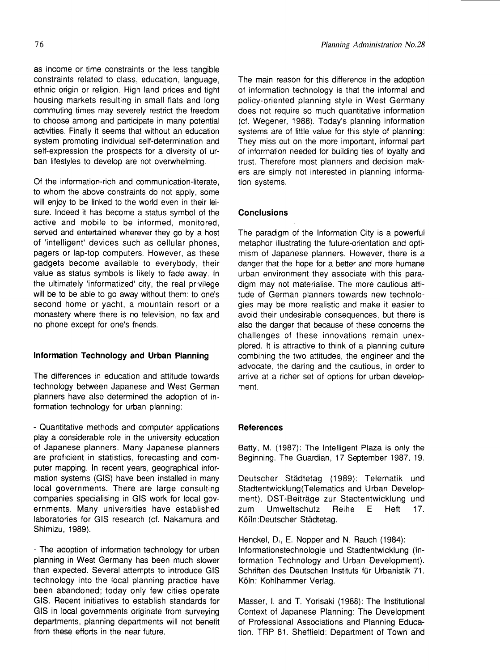as income or time constraints or the less tangible constraints related to class, education, language, ethnic origin or religion. High land prices and tight housing markets resulting in small flats and long commuting times may severely restrict the freedom to choose among and participate in many potential activities. Finally it seems that without an education system promoting individual self-determination and self-expression the prospects for a diversity of urban lifestyles to develop are not overwhelming.

Of the information-rich and communication-literate, to whom the above constraints do not apply, some will enjoy to be linked to the world even in their leisure. lndeed it has become a status symbol of the active and mobile to be informed, monitored, served and entertained wherever they go by a host of intelligent' devices such as cellular phones, pagers or lap-top computers. However, as these gadgets become available to everybody, their value as status symbols is likely to fade away. ln the ultimately 'informatized' city, the real privilege will be to be able to go away without them: to one's second home or yacht, a mountain resort or a monastery where there is no television, no fax and no phone except for one's friends.

# lnformation Technology and Urban Planning

The differences in education and attitude towards technology between Japanese and West German planners have also determined the adoption of information technology for urban planning:

- Quantitative methods and computer applications play a considerable role in the university education of Japanese planners. Many Japanese planners are proficient in statistics, forecasting and computer mapping. ln recent years, geographical information systems (GlS) have been installed in many local governments. There are large consulting companies specialising in GIS work for local governments. Many universities have established laboratories for GIS research (cf. Nakamura and Shimizu, 1989).

- The adoption of information technology tor urban planning in West Germany has been much slower than expected. Several attempts to introduce GIS technology into the local planning practice have been abandoned; today only few cities operate GlS. Recent initiatives to establish standards for GIS in local governments originate from surveying departments, planning depanments will not benefit from these etforts in the near future.

The main reason for this difference in the adoption of information technology is that the informal and policy-oriented planning style in West Germany does not require so much quantitative information (cf. Wegener, 1988). Today's planning information systems are of little value for this style of planning: They miss out on the more important, informal part of information needed for building ties of loyalty and trust. Therefore most planners and decision makers are simply not interested in planning information systems.

# **Conclusions**

The paradigm of the lnformation City is a powerful metaphor illustrating the future-orientation and optimism of Japanese planners. However, there is a danger that the hope for a better and more humane urban environment they associate with this paradigm may not materialise. The more cautious attitude of German planners towards new technologies may be more realistic and make it easier to avoid their undesirable consequences, but there is also the danger that because of these concerns the challenges of these innovations remain unexplored. It is attractive to think of a planning culture combining the two attitudes, the engineer and the advocate, the daring and the cautious, in order to arrive at a richer set of options for urban development.

#### **References**

Batty, M. (1987): The Intelligent Plaza is only the Beginning. The Guardian, 17 September 1987, 19.

Deutscher Städtetag (1989): Telematik und Stadtentwicklung(Telematics and Urban Development). DST-Beiträge zur Stadtentwicklung und zum Umweltschutz Reihe E Heft 17. Köiln :Deutscher Städtetag.

Henckel, D., E. Nopper and N. Rauch (1984): lnformationstechnologie und Stadtentwicklung (lnformation Technology and Urban Development). Schriften des Deutschen Instituts für Urbanistik 71. Köln: Kohlhammer Verlag.

Masser, l. and T. Yorisaki (1988): The lnstitutional Context of Japanese Planning: The Development of Professional Associations and Planning Education. TRP 81. Sheffield: Department of Town and